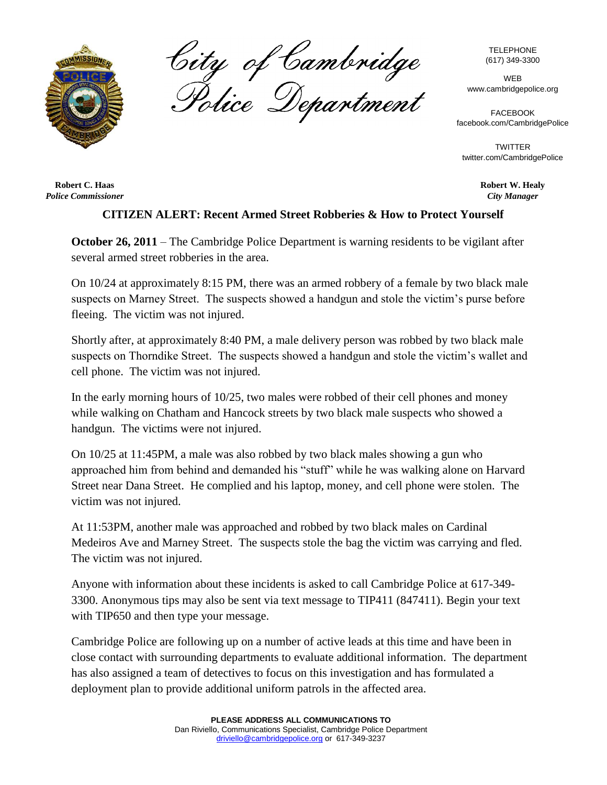

City of Cambridge<br>Police Department

TELEPHONE (617) 349-3300

WEB www.cambridgepolice.org

FACEBOOK facebook.com/CambridgePolice

**TWITTER** twitter.com/CambridgePolice

> **Robert W. Healy** *City Manager*

**Robert C. Haas** *Police Commissioner*

## **CITIZEN ALERT: Recent Armed Street Robberies & How to Protect Yourself**

**October 26, 2011** – The Cambridge Police Department is warning residents to be vigilant after several armed street robberies in the area.

On 10/24 at approximately 8:15 PM, there was an armed robbery of a female by two black male suspects on Marney Street. The suspects showed a handgun and stole the victim's purse before fleeing. The victim was not injured.

Shortly after, at approximately 8:40 PM, a male delivery person was robbed by two black male suspects on Thorndike Street. The suspects showed a handgun and stole the victim's wallet and cell phone. The victim was not injured.

In the early morning hours of 10/25, two males were robbed of their cell phones and money while walking on Chatham and Hancock streets by two black male suspects who showed a handgun. The victims were not injured.

On 10/25 at 11:45PM, a male was also robbed by two black males showing a gun who approached him from behind and demanded his "stuff" while he was walking alone on Harvard Street near Dana Street. He complied and his laptop, money, and cell phone were stolen. The victim was not injured.

At 11:53PM, another male was approached and robbed by two black males on Cardinal Medeiros Ave and Marney Street. The suspects stole the bag the victim was carrying and fled. The victim was not injured.

Anyone with information about these incidents is asked to call Cambridge Police at 617-349- 3300. Anonymous tips may also be sent via text message to TIP411 (847411). Begin your text with TIP650 and then type your message.

Cambridge Police are following up on a number of active leads at this time and have been in close contact with surrounding departments to evaluate additional information. The department has also assigned a team of detectives to focus on this investigation and has formulated a deployment plan to provide additional uniform patrols in the affected area.